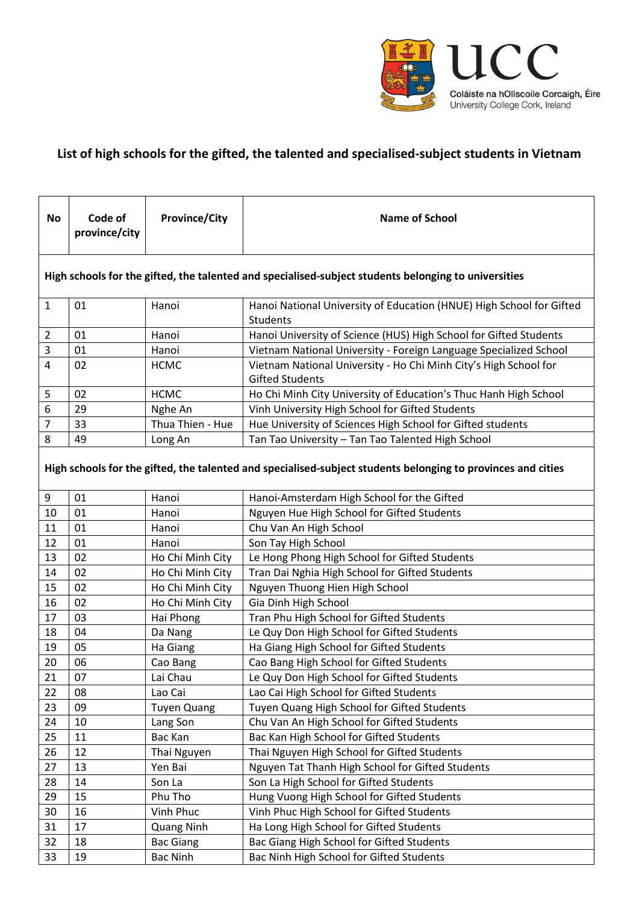

## **List of high schools for the gifted, the talented and specialised-subject students in Vietnam**

| No                                                                                                           | Code of<br>province/city | <b>Province/City</b> | <b>Name of School</b>                                                                      |  |
|--------------------------------------------------------------------------------------------------------------|--------------------------|----------------------|--------------------------------------------------------------------------------------------|--|
| High schools for the gifted, the talented and specialised-subject students belonging to universities         |                          |                      |                                                                                            |  |
| $\mathbf{1}$                                                                                                 | 01                       | Hanoi                | Hanoi National University of Education (HNUE) High School for Gifted<br><b>Students</b>    |  |
| 2                                                                                                            | 01                       | Hanoi                | Hanoi University of Science (HUS) High School for Gifted Students                          |  |
| 3                                                                                                            | 01                       | Hanoi                | Vietnam National University - Foreign Language Specialized School                          |  |
| 4                                                                                                            | 02                       | <b>HCMC</b>          | Vietnam National University - Ho Chi Minh City's High School for<br><b>Gifted Students</b> |  |
| 5                                                                                                            | 02                       | <b>HCMC</b>          | Ho Chi Minh City University of Education's Thuc Hanh High School                           |  |
| 6                                                                                                            | 29                       | Nghe An              | Vinh University High School for Gifted Students                                            |  |
| 7                                                                                                            | 33                       | Thua Thien - Hue     | Hue University of Sciences High School for Gifted students                                 |  |
| 8                                                                                                            | 49                       | Long An              | Tan Tao University - Tan Tao Talented High School                                          |  |
| High schools for the gifted, the talented and specialised-subject students belonging to provinces and cities |                          |                      |                                                                                            |  |
| 9                                                                                                            | 01                       | Hanoi                | Hanoi-Amsterdam High School for the Gifted                                                 |  |
| 10                                                                                                           | 01                       | Hanoi                | Nguyen Hue High School for Gifted Students                                                 |  |
| 11                                                                                                           | 01                       | Hanoi                | Chu Van An High School                                                                     |  |
| 12                                                                                                           | 01                       | Hanoi                | Son Tay High School                                                                        |  |
| 13                                                                                                           | 02                       | Ho Chi Minh City     | Le Hong Phong High School for Gifted Students                                              |  |
| 14                                                                                                           | 02                       | Ho Chi Minh City     | Tran Dai Nghia High School for Gifted Students                                             |  |
| 15                                                                                                           | 02                       | Ho Chi Minh City     | Nguyen Thuong Hien High School                                                             |  |
| 16                                                                                                           | 02                       | Ho Chi Minh City     | Gia Dinh High School                                                                       |  |
| 17                                                                                                           | 03                       | Hai Phong            | Tran Phu High School for Gifted Students                                                   |  |
| 18                                                                                                           | 04                       | Da Nang              | Le Quy Don High School for Gifted Students                                                 |  |
| 19                                                                                                           | 05                       | Ha Giang             | Ha Giang High School for Gifted Students                                                   |  |
| 20                                                                                                           | 06                       | Cao Bang             | Cao Bang High School for Gifted Students                                                   |  |
| 21                                                                                                           | 07                       | Lai Chau             | Le Quy Don High School for Gifted Students                                                 |  |
| 22                                                                                                           | 08                       | Lao Cai              | Lao Cai High School for Gifted Students                                                    |  |
| 23                                                                                                           | 09                       | <b>Tuyen Quang</b>   | Tuyen Quang High School for Gifted Students                                                |  |
| 24                                                                                                           | 10                       | Lang Son             | Chu Van An High School for Gifted Students                                                 |  |
| 25                                                                                                           | 11                       | Bac Kan              | Bac Kan High School for Gifted Students                                                    |  |
| 26                                                                                                           | 12                       | Thai Nguyen          | Thai Nguyen High School for Gifted Students                                                |  |
| 27                                                                                                           | 13                       | Yen Bai              | Nguyen Tat Thanh High School for Gifted Students                                           |  |
| 28                                                                                                           | 14                       | Son La               | Son La High School for Gifted Students                                                     |  |
| 29                                                                                                           | 15                       | Phu Tho              | Hung Vuong High School for Gifted Students                                                 |  |
| 30                                                                                                           | 16                       | Vinh Phuc            | Vinh Phuc High School for Gifted Students                                                  |  |
| 31                                                                                                           | 17                       | <b>Quang Ninh</b>    | Ha Long High School for Gifted Students                                                    |  |
| 32                                                                                                           | 18                       | <b>Bac Giang</b>     | Bac Giang High School for Gifted Students                                                  |  |
| 33                                                                                                           | 19                       | <b>Bac Ninh</b>      | Bac Ninh High School for Gifted Students                                                   |  |